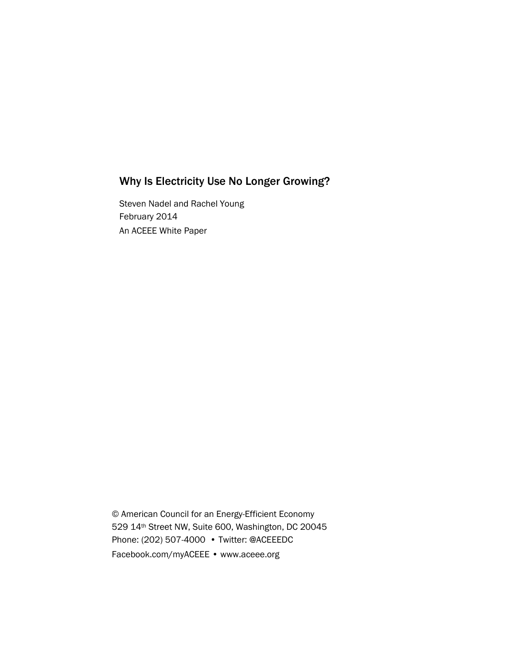# Why Is Electricity Use No Longer Growing?

Steven Nadel and Rachel Young February 2014 An ACEEE White Paper

© American Council for an Energy-Efficient Economy 529 14th Street NW, Suite 600, Washington, DC 20045 Phone: (202) 507-4000 • Twitter: @ACEEEDC Facebook.com/myACEEE • www.aceee.org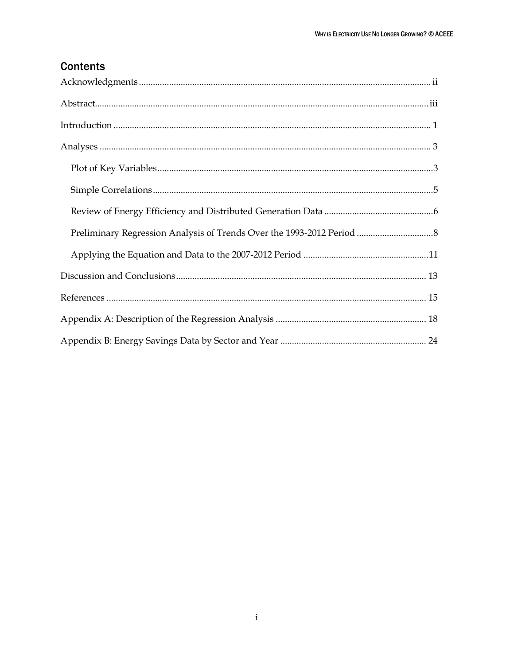# **Contents**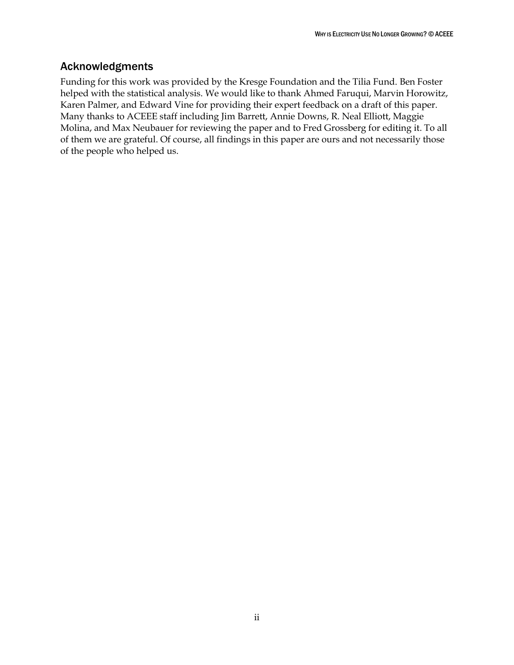# <span id="page-2-0"></span>Acknowledgments

Funding for this work was provided by the Kresge Foundation and the Tilia Fund. Ben Foster helped with the statistical analysis. We would like to thank Ahmed Faruqui, Marvin Horowitz, Karen Palmer, and Edward Vine for providing their expert feedback on a draft of this paper. Many thanks to ACEEE staff including Jim Barrett, Annie Downs, R. Neal Elliott, Maggie Molina, and Max Neubauer for reviewing the paper and to Fred Grossberg for editing it. To all of them we are grateful. Of course, all findings in this paper are ours and not necessarily those of the people who helped us.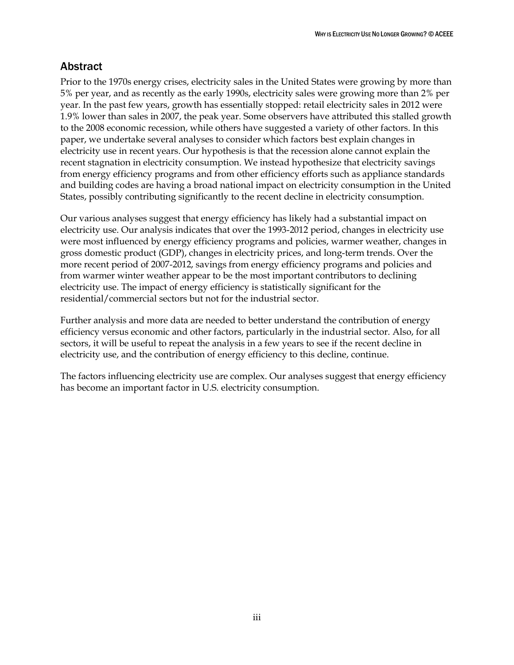# <span id="page-3-0"></span>**Abstract**

Prior to the 1970s energy crises, electricity sales in the United States were growing by more than 5% per year, and as recently as the early 1990s, electricity sales were growing more than 2% per year. In the past few years, growth has essentially stopped: retail electricity sales in 2012 were 1.9% lower than sales in 2007, the peak year. Some observers have attributed this stalled growth to the 2008 economic recession, while others have suggested a variety of other factors. In this paper, we undertake several analyses to consider which factors best explain changes in electricity use in recent years. Our hypothesis is that the recession alone cannot explain the recent stagnation in electricity consumption. We instead hypothesize that electricity savings from energy efficiency programs and from other efficiency efforts such as appliance standards and building codes are having a broad national impact on electricity consumption in the United States, possibly contributing significantly to the recent decline in electricity consumption.

Our various analyses suggest that energy efficiency has likely had a substantial impact on electricity use. Our analysis indicates that over the 1993-2012 period, changes in electricity use were most influenced by energy efficiency programs and policies, warmer weather, changes in gross domestic product (GDP), changes in electricity prices, and long-term trends. Over the more recent period of 2007-2012, savings from energy efficiency programs and policies and from warmer winter weather appear to be the most important contributors to declining electricity use. The impact of energy efficiency is statistically significant for the residential/commercial sectors but not for the industrial sector.

Further analysis and more data are needed to better understand the contribution of energy efficiency versus economic and other factors, particularly in the industrial sector. Also, for all sectors, it will be useful to repeat the analysis in a few years to see if the recent decline in electricity use, and the contribution of energy efficiency to this decline, continue.

The factors influencing electricity use are complex. Our analyses suggest that energy efficiency has become an important factor in U.S. electricity consumption.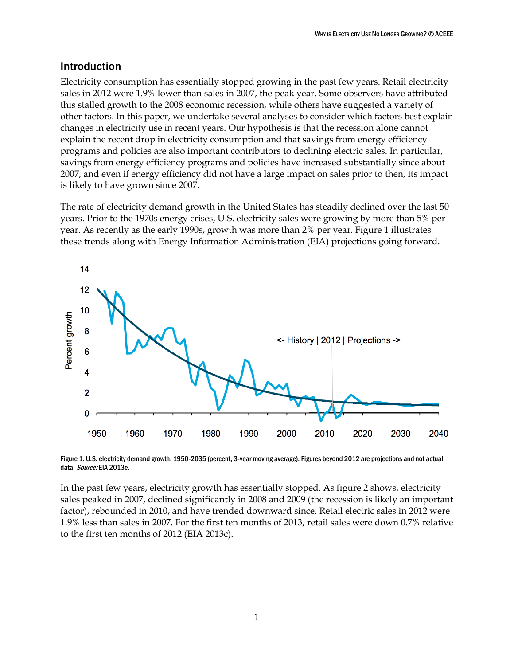# <span id="page-4-0"></span>Introduction

Electricity consumption has essentially stopped growing in the past few years. Retail electricity sales in 2012 were 1.9% lower than sales in 2007, the peak year. Some observers have attributed this stalled growth to the 2008 economic recession, while others have suggested a variety of other factors. In this paper, we undertake several analyses to consider which factors best explain changes in electricity use in recent years. Our hypothesis is that the recession alone cannot explain the recent drop in electricity consumption and that savings from energy efficiency programs and policies are also important contributors to declining electric sales. In particular, savings from energy efficiency programs and policies have increased substantially since about 2007, and even if energy efficiency did not have a large impact on sales prior to then, its impact is likely to have grown since 2007.

The rate of electricity demand growth in the United States has steadily declined over the last 50 years. Prior to the 1970s energy crises, U.S. electricity sales were growing by more than 5% per year. As recently as the early 1990s, growth was more than 2% per year. Figure 1 illustrates these trends along with Energy Information Administration (EIA) projections going forward.



Figure 1. U.S. electricity demand growth, 1950-2035 (percent, 3-year moving average). Figures beyond 2012 are projections and not actual data. Source: EIA 2013e.

In the past few years, electricity growth has essentially stopped. As figure 2 shows, electricity sales peaked in 2007, declined significantly in 2008 and 2009 (the recession is likely an important factor), rebounded in 2010, and have trended downward since. Retail electric sales in 2012 were 1.9% less than sales in 2007. For the first ten months of 2013, retail sales were down 0.7% relative to the first ten months of 2012 (EIA 2013c).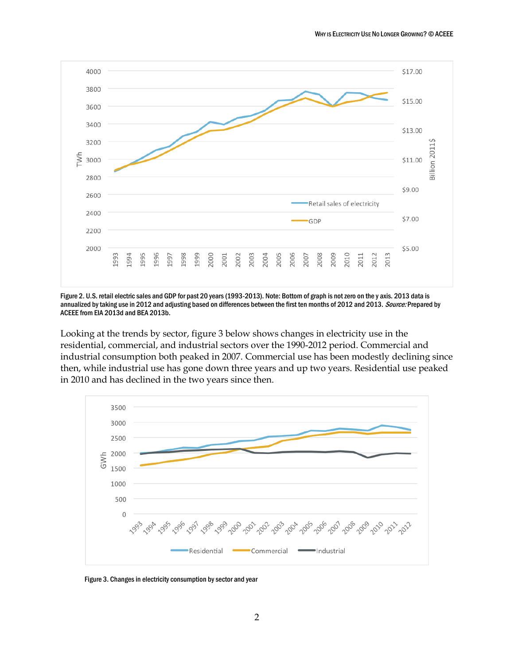

Figure 2. U.S. retail electric sales and GDP for past 20 years (1993-2013). Note: Bottom of graph is not zero on the y axis. 2013 data is annualized by taking use in 2012 and adjusting based on differences between the first ten months of 2012 and 2013. Source: Prepared by ACEEE from EIA 2013d and BEA 2013b.

Looking at the trends by sector, figure 3 below shows changes in electricity use in the residential, commercial, and industrial sectors over the 1990-2012 period. Commercial and industrial consumption both peaked in 2007. Commercial use has been modestly declining since then, while industrial use has gone down three years and up two years. Residential use peaked in 2010 and has declined in the two years since then.



Figure 3. Changes in electricity consumption by sector and year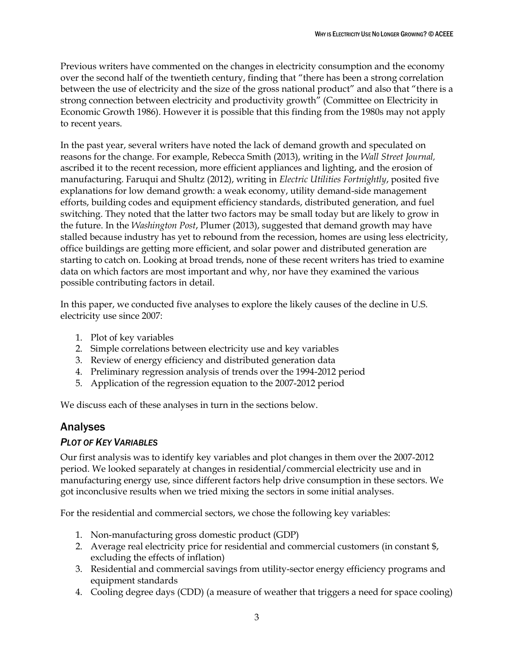Previous writers have commented on the changes in electricity consumption and the economy over the second half of the twentieth century, finding that "there has been a strong correlation between the use of electricity and the size of the gross national product" and also that "there is a strong connection between electricity and productivity growth" (Committee on Electricity in Economic Growth 1986). However it is possible that this finding from the 1980s may not apply to recent years.

In the past year, several writers have noted the lack of demand growth and speculated on reasons for the change. For example, Rebecca Smith (2013), writing in the *Wall Street Journal,* ascribed it to the recent recession, more efficient appliances and lighting, and the erosion of manufacturing. Faruqui and Shultz (2012), writing in *Electric Utilities Fortnightly*, posited five explanations for low demand growth: a weak economy, utility demand-side management efforts, building codes and equipment efficiency standards, distributed generation, and fuel switching. They noted that the latter two factors may be small today but are likely to grow in the future. In the *Washington Post*, Plumer (2013), suggested that demand growth may have stalled because industry has yet to rebound from the recession, homes are using less electricity, office buildings are getting more efficient, and solar power and distributed generation are starting to catch on. Looking at broad trends, none of these recent writers has tried to examine data on which factors are most important and why, nor have they examined the various possible contributing factors in detail.

In this paper, we conducted five analyses to explore the likely causes of the decline in U.S. electricity use since 2007:

- 1. Plot of key variables
- 2. Simple correlations between electricity use and key variables
- 3. Review of energy efficiency and distributed generation data
- 4. Preliminary regression analysis of trends over the 1994-2012 period
- 5. Application of the regression equation to the 2007-2012 period

We discuss each of these analyses in turn in the sections below.

## <span id="page-6-0"></span>Analyses

## <span id="page-6-1"></span>*PLOT OF KEY VARIABLES*

Our first analysis was to identify key variables and plot changes in them over the 2007-2012 period. We looked separately at changes in residential/commercial electricity use and in manufacturing energy use, since different factors help drive consumption in these sectors. We got inconclusive results when we tried mixing the sectors in some initial analyses.

For the residential and commercial sectors, we chose the following key variables:

- 1. Non-manufacturing gross domestic product (GDP)
- 2. Average real electricity price for residential and commercial customers (in constant \$, excluding the effects of inflation)
- 3. Residential and commercial savings from utility-sector energy efficiency programs and equipment standards
- 4. Cooling degree days (CDD) (a measure of weather that triggers a need for space cooling)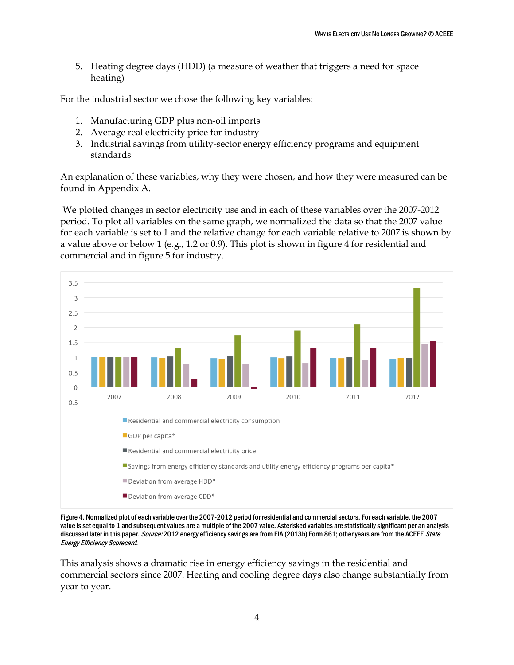5. Heating degree days (HDD) (a measure of weather that triggers a need for space heating)

For the industrial sector we chose the following key variables:

- 1. Manufacturing GDP plus non-oil imports
- 2. Average real electricity price for industry
- 3. Industrial savings from utility-sector energy efficiency programs and equipment standards

An explanation of these variables, why they were chosen, and how they were measured can be found in Appendix A.

We plotted changes in sector electricity use and in each of these variables over the 2007-2012 period. To plot all variables on the same graph, we normalized the data so that the 2007 value for each variable is set to 1 and the relative change for each variable relative to 2007 is shown by a value above or below 1 (e.g., 1.2 or 0.9). This plot is shown in figure 4 for residential and commercial and in figure 5 for industry.



Figure 4. Normalized plot of each variable over the 2007-2012 period for residential and commercial sectors. For each variable, the 2007 value is set equal to 1 and subsequent values are a multiple of the 2007 value. Asterisked variables are statistically significant per an analysis discussed later in this paper. Source: 2012 energy efficiency savings are from EIA (2013b) Form 861; other years are from the ACEEE State Energy Efficiency Scorecard.

This analysis shows a dramatic rise in energy efficiency savings in the residential and commercial sectors since 2007. Heating and cooling degree days also change substantially from year to year.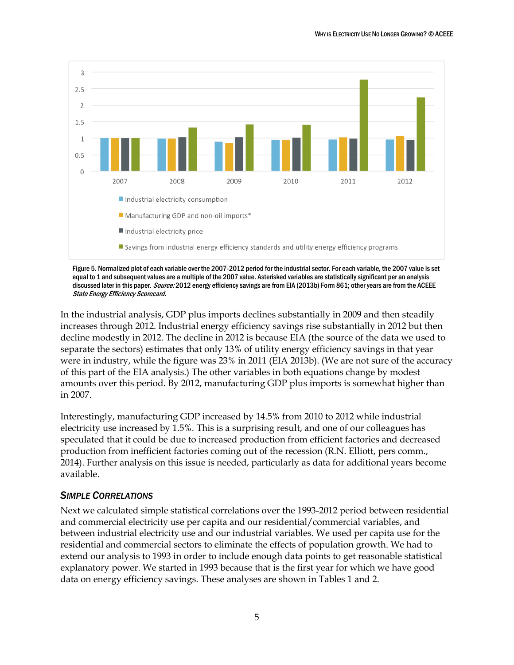

Figure 5. Normalized plot of each variable over the 2007-2012 period for the industrial sector. For each variable, the 2007 value is set equal to 1 and subsequent values are a multiple of the 2007 value. Asterisked variables are statistically significant per an analysis discussed later in this paper. Source: 2012 energy efficiency savings are from EIA (2013b) Form 861; other years are from the ACEEE State Energy Efficiency Scorecard.

In the industrial analysis, GDP plus imports declines substantially in 2009 and then steadily increases through 2012. Industrial energy efficiency savings rise substantially in 2012 but then decline modestly in 2012. The decline in 2012 is because EIA (the source of the data we used to separate the sectors) estimates that only 13% of utility energy efficiency savings in that year were in industry, while the figure was 23% in 2011 (EIA 2013b). (We are not sure of the accuracy of this part of the EIA analysis.) The other variables in both equations change by modest amounts over this period. By 2012, manufacturing GDP plus imports is somewhat higher than in 2007.

Interestingly, manufacturing GDP increased by 14.5% from 2010 to 2012 while industrial electricity use increased by 1.5%. This is a surprising result, and one of our colleagues has speculated that it could be due to increased production from efficient factories and decreased production from inefficient factories coming out of the recession (R.N. Elliott, pers comm., 2014). Further analysis on this issue is needed, particularly as data for additional years become available.

## <span id="page-8-0"></span>*SIMPLE CORRELATIONS*

Next we calculated simple statistical correlations over the 1993-2012 period between residential and commercial electricity use per capita and our residential/commercial variables, and between industrial electricity use and our industrial variables. We used per capita use for the residential and commercial sectors to eliminate the effects of population growth. We had to extend our analysis to 1993 in order to include enough data points to get reasonable statistical explanatory power. We started in 1993 because that is the first year for which we have good data on energy efficiency savings. These analyses are shown in Tables 1 and 2.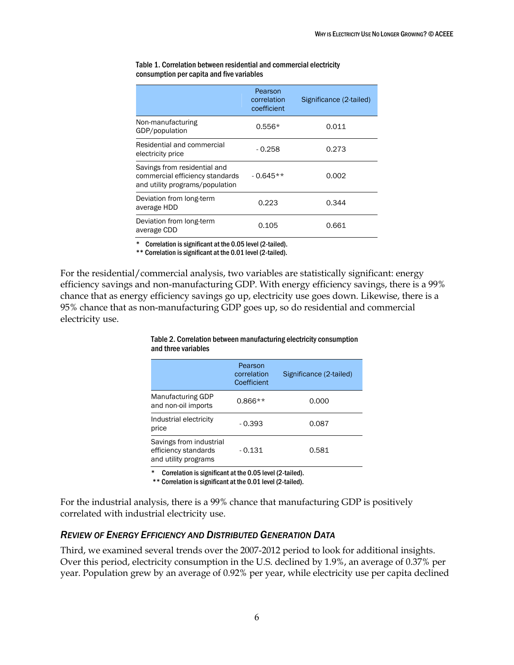|                                                                                                    | Pearson<br>correlation<br>coefficient | Significance (2-tailed) |
|----------------------------------------------------------------------------------------------------|---------------------------------------|-------------------------|
| Non-manufacturing<br>GDP/population                                                                | $0.556*$                              | 0.011                   |
| Residential and commercial<br>electricity price                                                    | $-0.258$                              | 0.273                   |
| Savings from residential and<br>commercial efficiency standards<br>and utility programs/population | $-0.645**$                            | 0.002                   |
| Deviation from long-term<br>average HDD                                                            | 0.223                                 | 0.344                   |
| Deviation from long-term<br>average CDD                                                            | 0.105                                 | 0.661                   |

Table 1. Correlation between residential and commercial electricity consumption per capita and five variables

Correlation is significant at the 0.05 level (2-tailed).

\*\* Correlation is significant at the 0.01 level (2-tailed).

For the residential/commercial analysis, two variables are statistically significant: energy efficiency savings and non-manufacturing GDP. With energy efficiency savings, there is a 99% chance that as energy efficiency savings go up, electricity use goes down. Likewise, there is a 95% chance that as non-manufacturing GDP goes up, so do residential and commercial electricity use.

|                                                                         | Pearson<br>correlation<br>Coefficient | Significance (2-tailed) |
|-------------------------------------------------------------------------|---------------------------------------|-------------------------|
| Manufacturing GDP<br>and non-oil imports                                | $0.866**$                             | 0.000                   |
| Industrial electricity<br>price                                         | $-0.393$                              | 0.087                   |
| Savings from industrial<br>efficiency standards<br>and utility programs | - 0.131                               | 0.581                   |

#### Table 2. Correlation between manufacturing electricity consumption and three variables

\* Correlation is significant at the 0.05 level (2-tailed).

\*\* Correlation is significant at the 0.01 level (2-tailed).

For the industrial analysis, there is a 99% chance that manufacturing GDP is positively correlated with industrial electricity use.

### <span id="page-9-0"></span>*REVIEW OF ENERGY EFFICIENCY AND DISTRIBUTED GENERATION DATA*

Third, we examined several trends over the 2007-2012 period to look for additional insights. Over this period, electricity consumption in the U.S. declined by 1.9%, an average of 0.37% per year. Population grew by an average of 0.92% per year, while electricity use per capita declined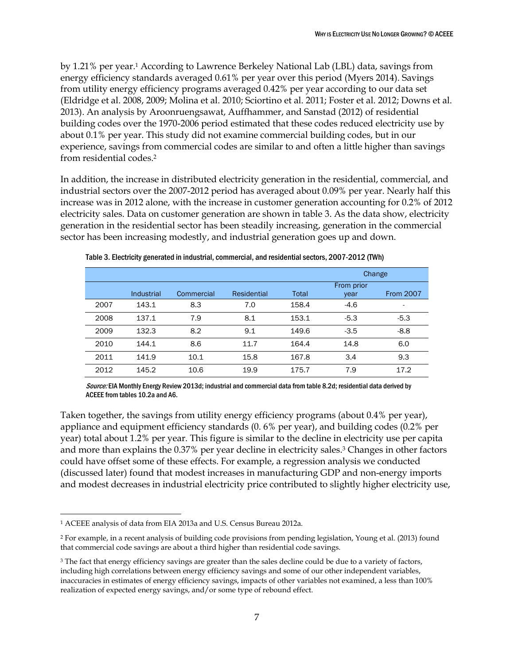by 1.21% per year.<sup>1</sup> According to Lawrence Berkeley National Lab (LBL) data, savings from energy efficiency standards averaged 0.61% per year over this period (Myers 2014). Savings from utility energy efficiency programs averaged 0.42% per year according to our data set (Eldridge et al. 2008, 2009; Molina et al. 2010; Sciortino et al. 2011; Foster et al. 2012; Downs et al. 2013). An analysis by Aroonruengsawat, Auffhammer, and Sanstad (2012) of residential building codes over the 1970-2006 period estimated that these codes reduced electricity use by about 0.1% per year. This study did not examine commercial building codes, but in our experience, savings from commercial codes are similar to and often a little higher than savings from residential codes.<sup>2</sup>

In addition, the increase in distributed electricity generation in the residential, commercial, and industrial sectors over the 2007-2012 period has averaged about 0.09% per year. Nearly half this increase was in 2012 alone, with the increase in customer generation accounting for 0.2% of 2012 electricity sales. Data on customer generation are shown in table 3. As the data show, electricity generation in the residential sector has been steadily increasing, generation in the commercial sector has been increasing modestly, and industrial generation goes up and down.

|      |            |            |                    |       |                    | Change           |
|------|------------|------------|--------------------|-------|--------------------|------------------|
|      | Industrial | Commercial | <b>Residential</b> | Total | From prior<br>year | <b>From 2007</b> |
| 2007 | 143.1      | 8.3        | 7.0                | 158.4 | $-4.6$             | ٠                |
| 2008 | 137.1      | 7.9        | 8.1                | 153.1 | $-5.3$             | $-5.3$           |
| 2009 | 132.3      | 8.2        | 9.1                | 149.6 | $-3.5$             | $-8.8$           |
| 2010 | 144.1      | 8.6        | 11.7               | 164.4 | 14.8               | 6.0              |
| 2011 | 141.9      | 10.1       | 15.8               | 167.8 | 3.4                | 9.3              |
| 2012 | 145.2      | 10.6       | 19.9               | 175.7 | 7.9                | 17.2             |

Table 3. Electricity generated in industrial, commercial, and residential sectors, 2007-2012 (TWh)

Source: EIA Monthly Energy Review 2013d; industrial and commercial data from table 8.2d; residential data derived by ACEEE from tables 10.2a and A6.

Taken together, the savings from utility energy efficiency programs (about 0.4% per year), appliance and equipment efficiency standards (0. 6% per year), and building codes (0.2% per year) total about 1.2% per year. This figure is similar to the decline in electricity use per capita and more than explains the 0.37% per year decline in electricity sales.<sup>3</sup> Changes in other factors could have offset some of these effects. For example, a regression analysis we conducted (discussed later) found that modest increases in manufacturing GDP and non-energy imports and modest decreases in industrial electricity price contributed to slightly higher electricity use,

 $\overline{a}$ 

<sup>1</sup> ACEEE analysis of data from EIA 2013a and U.S. Census Bureau 2012a.

<sup>2</sup> For example, in a recent analysis of building code provisions from pending legislation, Young et al. (2013) found that commercial code savings are about a third higher than residential code savings.

<sup>&</sup>lt;sup>3</sup> The fact that energy efficiency savings are greater than the sales decline could be due to a variety of factors, including high correlations between energy efficiency savings and some of our other independent variables, inaccuracies in estimates of energy efficiency savings, impacts of other variables not examined, a less than 100% realization of expected energy savings, and/or some type of rebound effect.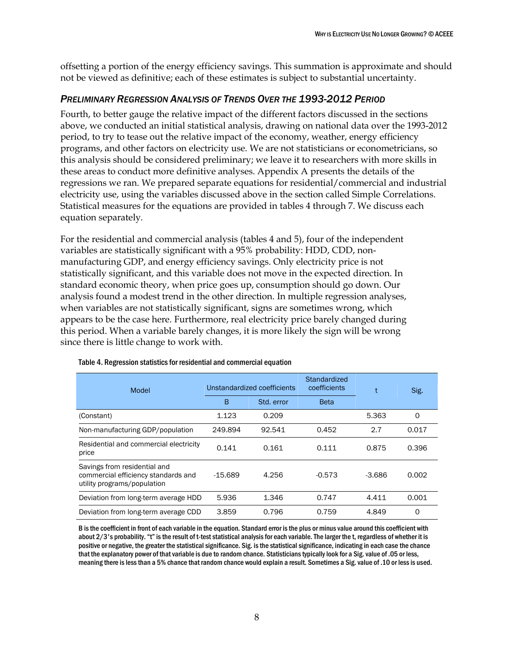offsetting a portion of the energy efficiency savings. This summation is approximate and should not be viewed as definitive; each of these estimates is subject to substantial uncertainty.

## <span id="page-11-0"></span>*PRELIMINARY REGRESSION ANALYSIS OF TRENDS OVER THE 1993-2012 PERIOD*

Fourth, to better gauge the relative impact of the different factors discussed in the sections above, we conducted an initial statistical analysis, drawing on national data over the 1993-2012 period, to try to tease out the relative impact of the economy, weather, energy efficiency programs, and other factors on electricity use. We are not statisticians or econometricians, so this analysis should be considered preliminary; we leave it to researchers with more skills in these areas to conduct more definitive analyses. Appendix A presents the details of the regressions we ran. We prepared separate equations for residential/commercial and industrial electricity use, using the variables discussed above in the section called Simple Correlations. Statistical measures for the equations are provided in tables 4 through 7. We discuss each equation separately.

For the residential and commercial analysis (tables 4 and 5), four of the independent variables are statistically significant with a 95% probability: HDD, CDD, nonmanufacturing GDP, and energy efficiency savings. Only electricity price is not statistically significant, and this variable does not move in the expected direction. In standard economic theory, when price goes up, consumption should go down. Our analysis found a modest trend in the other direction. In multiple regression analyses, when variables are not statistically significant, signs are sometimes wrong, which appears to be the case here. Furthermore, real electricity price barely changed during this period. When a variable barely changes, it is more likely the sign will be wrong since there is little change to work with.

| Model                                                                                              | Unstandardized coefficients |        | Standardized<br>coefficients |          | Sig.  |
|----------------------------------------------------------------------------------------------------|-----------------------------|--------|------------------------------|----------|-------|
|                                                                                                    | В<br>Std. error             |        | <b>Beta</b>                  |          |       |
| (Constant)                                                                                         | 1.123                       | 0.209  |                              | 5.363    | 0     |
| Non-manufacturing GDP/population                                                                   | 249.894                     | 92.541 | 0.452                        | 2.7      | 0.017 |
| Residential and commercial electricity<br>price                                                    | 0.141                       | 0.161  | 0.111                        | 0.875    | 0.396 |
| Savings from residential and<br>commercial efficiency standards and<br>utility programs/population | $-15.689$                   | 4.256  | $-0.573$                     | $-3.686$ | 0.002 |
| Deviation from long-term average HDD                                                               | 5.936                       | 1.346  | 0.747                        | 4.411    | 0.001 |
| Deviation from long-term average CDD                                                               | 3.859                       | 0.796  | 0.759                        | 4.849    | 0     |

#### Table 4. Regression statistics for residential and commercial equation

B is the coefficient in front of each variable in the equation. Standard error is the plus or minus value around this coefficient with about 2/3's probability. "t" is the result of t-test statistical analysis for each variable. The larger the t, regardless of whether it is positive or negative, the greater the statistical significance. Sig. is the statistical significance, indicating in each case the chance that the explanatory power of that variable is due to random chance. Statisticians typically look for a Sig. value of .05 or less, meaning there is less than a 5% chance that random chance would explain a result. Sometimes a Sig. value of .10 or less is used.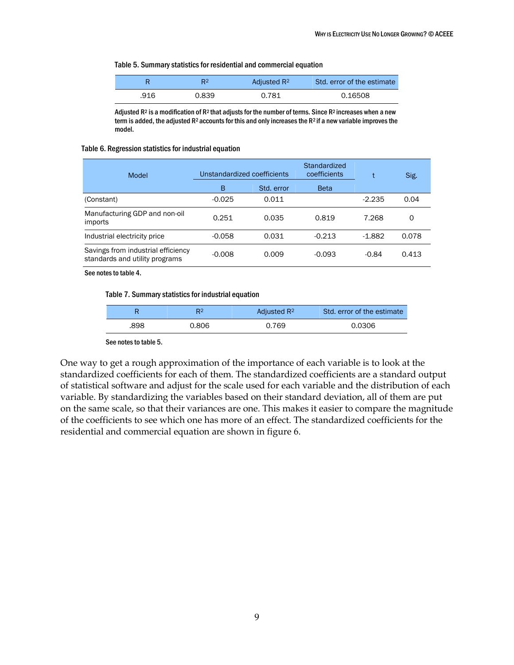#### Table 5. Summary statistics for residential and commercial equation

|      | R <sup>2</sup> | Adjusted R <sup>2</sup> | Std. error of the estimate |
|------|----------------|-------------------------|----------------------------|
| .916 | 0.839          | 0.781                   | 0.16508                    |

Adjusted  $R^2$  is a modification of  $R^2$  that adjusts for the number of terms. Since  $R^2$  increases when a new term is added, the adjusted R<sup>2</sup> accounts for this and only increases the R<sup>2</sup> if a new variable improves the model.

#### Table 6. Regression statistics for industrial equation

| Model                                                                | Unstandardized coefficients |            | Standardized<br>coefficients |          | Sig.  |
|----------------------------------------------------------------------|-----------------------------|------------|------------------------------|----------|-------|
|                                                                      | В                           | Std. error | <b>Beta</b>                  |          |       |
| (Constant)                                                           | $-0.025$                    | 0.011      |                              | $-2.235$ | 0.04  |
| Manufacturing GDP and non-oil<br>imports                             | 0.251                       | 0.035      | 0.819                        | 7.268    | 0     |
| Industrial electricity price                                         | $-0.058$                    | 0.031      | $-0.213$                     | $-1.882$ | 0.078 |
| Savings from industrial efficiency<br>standards and utility programs | $-0.008$                    | 0.009      | $-0.093$                     | $-0.84$  | 0.413 |

See notes to table 4.

#### Table 7. Summary statistics for industrial equation

| R    | R2    | Adjusted R <sup>2</sup> | Std. error of the estimate |  |
|------|-------|-------------------------|----------------------------|--|
| .898 | 0.806 | 0.769                   | 0.0306                     |  |
|      |       |                         |                            |  |

See notes to table 5.

One way to get a rough approximation of the importance of each variable is to look at the standardized coefficients for each of them. The standardized coefficients are a standard output of statistical software and adjust for the scale used for each variable and the distribution of each variable. By standardizing the variables based on their standard deviation, all of them are put on the same scale, so that their variances are one. This makes it easier to compare the magnitude of the coefficients to see which one has more of an effect. The standardized coefficients for the residential and commercial equation are shown in figure 6.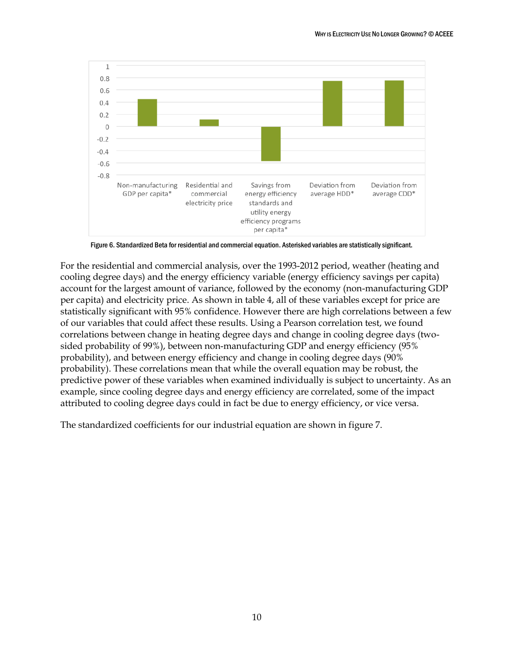

Figure 6. Standardized Beta for residential and commercial equation. Asterisked variables are statistically significant.

For the residential and commercial analysis, over the 1993-2012 period, weather (heating and cooling degree days) and the energy efficiency variable (energy efficiency savings per capita) account for the largest amount of variance, followed by the economy (non-manufacturing GDP per capita) and electricity price. As shown in table 4, all of these variables except for price are statistically significant with 95% confidence. However there are high correlations between a few of our variables that could affect these results. Using a Pearson correlation test, we found correlations between change in heating degree days and change in cooling degree days (twosided probability of 99%), between non-manufacturing GDP and energy efficiency (95% probability), and between energy efficiency and change in cooling degree days (90% probability). These correlations mean that while the overall equation may be robust, the predictive power of these variables when examined individually is subject to uncertainty. As an example, since cooling degree days and energy efficiency are correlated, some of the impact attributed to cooling degree days could in fact be due to energy efficiency, or vice versa.

The standardized coefficients for our industrial equation are shown in figure 7.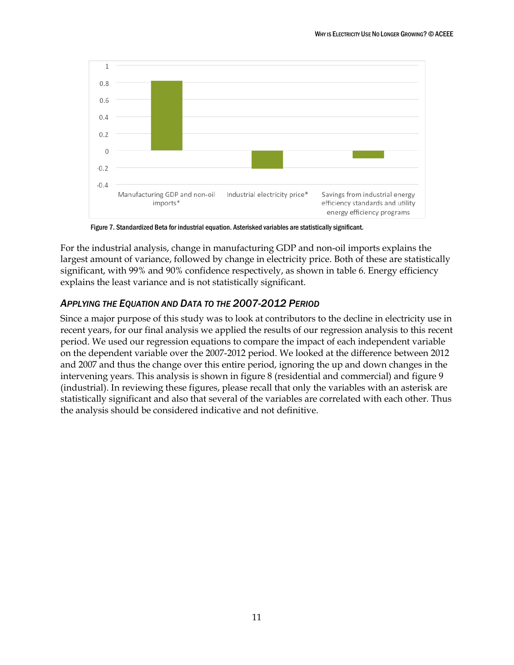

Figure 7. Standardized Beta for industrial equation. Asterisked variables are statistically significant.

For the industrial analysis, change in manufacturing GDP and non-oil imports explains the largest amount of variance, followed by change in electricity price. Both of these are statistically significant, with 99% and 90% confidence respectively, as shown in table 6. Energy efficiency explains the least variance and is not statistically significant.

### <span id="page-14-0"></span>*APPLYING THE EQUATION AND DATA TO THE 2007-2012 PERIOD*

Since a major purpose of this study was to look at contributors to the decline in electricity use in recent years, for our final analysis we applied the results of our regression analysis to this recent period. We used our regression equations to compare the impact of each independent variable on the dependent variable over the 2007-2012 period. We looked at the difference between 2012 and 2007 and thus the change over this entire period, ignoring the up and down changes in the intervening years. This analysis is shown in figure 8 (residential and commercial) and figure 9 (industrial). In reviewing these figures, please recall that only the variables with an asterisk are statistically significant and also that several of the variables are correlated with each other. Thus the analysis should be considered indicative and not definitive.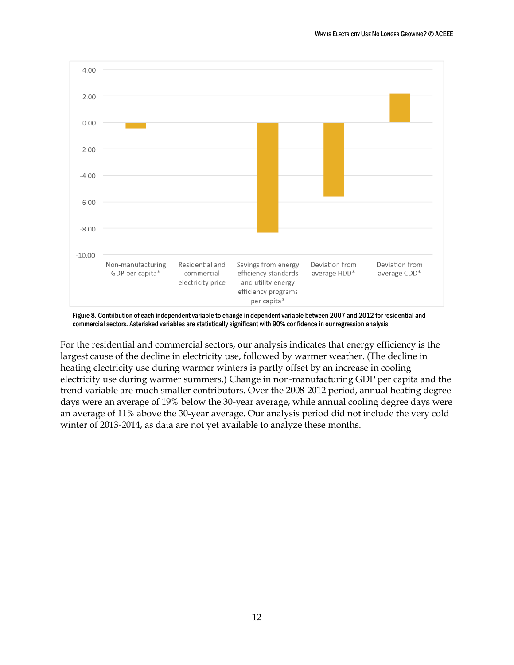

Figure 8. Contribution of each independent variable to change in dependent variable between 2007 and 2012 for residential and commercial sectors. Asterisked variables are statistically significant with 90% confidence in our regression analysis.

For the residential and commercial sectors, our analysis indicates that energy efficiency is the largest cause of the decline in electricity use, followed by warmer weather. (The decline in heating electricity use during warmer winters is partly offset by an increase in cooling electricity use during warmer summers.) Change in non-manufacturing GDP per capita and the trend variable are much smaller contributors. Over the 2008-2012 period, annual heating degree days were an average of 19% below the 30-year average, while annual cooling degree days were an average of 11% above the 30-year average. Our analysis period did not include the very cold winter of 2013-2014, as data are not yet available to analyze these months.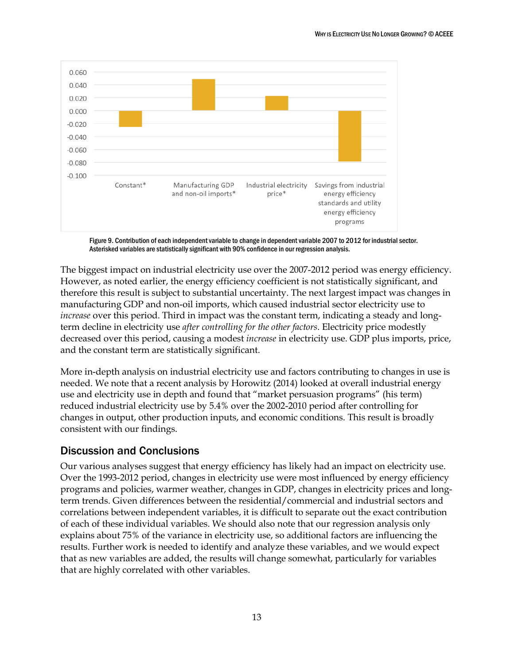

Figure 9. Contribution of each independent variable to change in dependent variable 2007 to 2012 for industrial sector. Asterisked variables are statistically significant with 90% confidence in our regression analysis.

The biggest impact on industrial electricity use over the 2007-2012 period was energy efficiency. However, as noted earlier, the energy efficiency coefficient is not statistically significant, and therefore this result is subject to substantial uncertainty. The next largest impact was changes in manufacturing GDP and non-oil imports, which caused industrial sector electricity use to *increase* over this period. Third in impact was the constant term, indicating a steady and longterm decline in electricity use *after controlling for the other factors*. Electricity price modestly decreased over this period, causing a modest *increase* in electricity use. GDP plus imports, price, and the constant term are statistically significant.

More in-depth analysis on industrial electricity use and factors contributing to changes in use is needed. We note that a recent analysis by Horowitz (2014) looked at overall industrial energy use and electricity use in depth and found that "market persuasion programs" (his term) reduced industrial electricity use by 5.4% over the 2002-2010 period after controlling for changes in output, other production inputs, and economic conditions. This result is broadly consistent with our findings.

# <span id="page-16-0"></span>Discussion and Conclusions

Our various analyses suggest that energy efficiency has likely had an impact on electricity use. Over the 1993-2012 period, changes in electricity use were most influenced by energy efficiency programs and policies, warmer weather, changes in GDP, changes in electricity prices and longterm trends. Given differences between the residential/commercial and industrial sectors and correlations between independent variables, it is difficult to separate out the exact contribution of each of these individual variables. We should also note that our regression analysis only explains about 75% of the variance in electricity use, so additional factors are influencing the results. Further work is needed to identify and analyze these variables, and we would expect that as new variables are added, the results will change somewhat, particularly for variables that are highly correlated with other variables.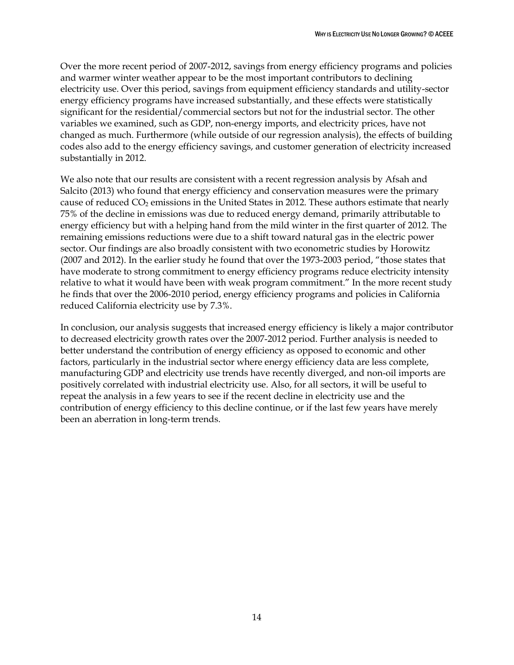Over the more recent period of 2007-2012, savings from energy efficiency programs and policies and warmer winter weather appear to be the most important contributors to declining electricity use. Over this period, savings from equipment efficiency standards and utility-sector energy efficiency programs have increased substantially, and these effects were statistically significant for the residential/commercial sectors but not for the industrial sector. The other variables we examined, such as GDP, non-energy imports, and electricity prices, have not changed as much. Furthermore (while outside of our regression analysis), the effects of building codes also add to the energy efficiency savings, and customer generation of electricity increased substantially in 2012.

We also note that our results are consistent with a recent regression analysis by Afsah and Salcito (2013) who found that energy efficiency and conservation measures were the primary cause of reduced CO<sub>2</sub> emissions in the United States in 2012. These authors estimate that nearly 75% of the decline in emissions was due to reduced energy demand, primarily attributable to energy efficiency but with a helping hand from the mild winter in the first quarter of 2012. The remaining emissions reductions were due to a shift toward natural gas in the electric power sector. Our findings are also broadly consistent with two econometric studies by Horowitz (2007 and 2012). In the earlier study he found that over the 1973-2003 period, "those states that have moderate to strong commitment to energy efficiency programs reduce electricity intensity relative to what it would have been with weak program commitment." In the more recent study he finds that over the 2006-2010 period, energy efficiency programs and policies in California reduced California electricity use by 7.3%.

In conclusion, our analysis suggests that increased energy efficiency is likely a major contributor to decreased electricity growth rates over the 2007-2012 period. Further analysis is needed to better understand the contribution of energy efficiency as opposed to economic and other factors, particularly in the industrial sector where energy efficiency data are less complete, manufacturing GDP and electricity use trends have recently diverged, and non-oil imports are positively correlated with industrial electricity use. Also, for all sectors, it will be useful to repeat the analysis in a few years to see if the recent decline in electricity use and the contribution of energy efficiency to this decline continue, or if the last few years have merely been an aberration in long-term trends.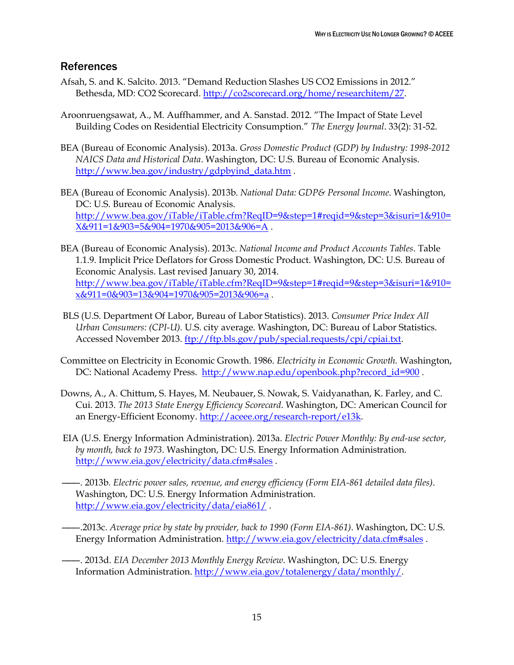## <span id="page-18-0"></span>References

- Afsah, S. and K. Salcito. 2013. "Demand Reduction Slashes US CO2 Emissions in 2012." Bethesda, MD: CO2 Scorecard. [http://co2scorecard.org/home/researchitem/27.](http://co2scorecard.org/home/researchitem/27)
- Aroonruengsawat, A., M. Auffhammer, and A. Sanstad. 2012. "The Impact of State Level Building Codes on Residential Electricity Consumption." *The Energy Journal*. 33(2): 31-52.
- BEA (Bureau of Economic Analysis). 2013a. *Gross Domestic Product (GDP) by Industry: 1998-2012 NAICS Data and Historical Data*. Washington, DC: U.S. Bureau of Economic Analysis. [http://www.bea.gov/industry/gdpbyind\\_data.htm](http://www.bea.gov/industry/gdpbyind_data.htm) .
- BEA (Bureau of Economic Analysis). 2013b. *National Data: GDP& Personal Income*. Washington, DC: U.S. Bureau of Economic Analysis. [http://www.bea.gov/iTable/iTable.cfm?ReqID=9&step=1#reqid=9&step=3&isuri=1&910=](http://www.bea.gov/iTable/iTable.cfm?ReqID=9&step=1#reqid=9&step=3&isuri=1&910=X&911=1&903=5&904=1970&905=2013&906=A) [X&911=1&903=5&904=1970&905=2013&906=A](http://www.bea.gov/iTable/iTable.cfm?ReqID=9&step=1#reqid=9&step=3&isuri=1&910=X&911=1&903=5&904=1970&905=2013&906=A) .
- BEA (Bureau of Economic Analysis). 2013c. *National Income and Product Accounts Tables*. Table 1.1.9. Implicit Price Deflators for Gross Domestic Product. Washington, DC: U.S. Bureau of Economic Analysis. Last revised January 30, 2014. [http://www.bea.gov/iTable/iTable.cfm?ReqID=9&step=1#reqid=9&step=3&isuri=1&910=](http://www.bea.gov/iTable/iTable.cfm?ReqID=9&step=1#reqid=9&step=3&isuri=1&910=x&911=0&903=13&904=1970&905=2013&906=a) [x&911=0&903=13&904=1970&905=2013&906=a](http://www.bea.gov/iTable/iTable.cfm?ReqID=9&step=1#reqid=9&step=3&isuri=1&910=x&911=0&903=13&904=1970&905=2013&906=a) .
- BLS (U.S. Department Of Labor, Bureau of Labor Statistics). 2013. *Consumer Price Index All Urban Consumers: (CPI-U).* U.S. city average*.* Washington, DC: Bureau of Labor Statistics. Accessed November 2013. [ftp://ftp.bls.gov/pub/special.requests/cpi/cpiai.txt.](ftp://ftp.bls.gov/pub/special.requests/cpi/cpiai.txt)
- Committee on Electricity in Economic Growth. 1986. *Electricity in Economic Growth.* Washington, DC: National Academy Press. [http://www.nap.edu/openbook.php?record\\_id=900](http://www.nap.edu/openbook.php?record_id=900).
- Downs, A., A. Chittum, S. Hayes, M. Neubauer, S. Nowak, S. Vaidyanathan, K. Farley, and C. Cui. 2013. *The 2013 State Energy Efficiency Scorecard*. Washington, DC: American Council for an Energy-Efficient Economy. [http://aceee.org/research-report/e13k.](http://aceee.org/research-report/e13k)
- EIA (U.S. Energy Information Administration). 2013a. *Electric Power Monthly: By end-use sector, by month, back to 1973*. Washington, DC: U.S. Energy Information Administration. <http://www.eia.gov/electricity/data.cfm#sales> .
- ———. 2013b*. Electric power sales, revenue, and energy efficiency (Form EIA-861 detailed data files)*. Washington, DC: U.S. Energy Information Administration. <http://www.eia.gov/electricity/data/eia861/>.
- ———.2013c*. Average price by state by provider, back to 1990 (Form EIA-861)*. Washington, DC: U.S. Energy Information Administration. <http://www.eia.gov/electricity/data.cfm#sales> .
- ———. 2013d. *EIA December 2013 Monthly Energy Review*. Washington, DC: U.S. Energy Information Administration. [http://www.eia.gov/totalenergy/data/monthly/.](http://www.eia.gov/totalenergy/data/monthly/)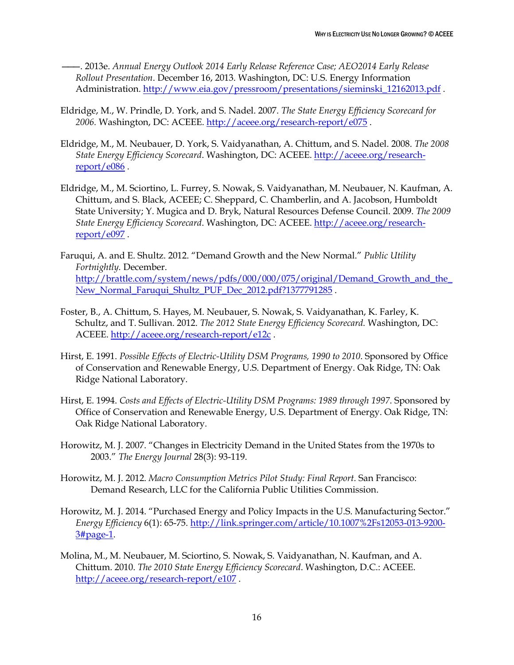———. 2013e. *Annual Energy Outlook 2014 Early Release Reference Case; AEO2014 Early Release Rollout Presentation*. December 16, 2013. Washington, DC: U.S. Energy Information Administration. [http://www.eia.gov/pressroom/presentations/sieminski\\_12162013.pdf](http://www.eia.gov/pressroom/presentations/sieminski_12162013.pdf) .

- Eldridge, M., W. Prindle, D. York, and S. Nadel. 2007. *The State Energy Efficiency Scorecard for 2006.* Washington, DC: ACEEE.<http://aceee.org/research-report/e075> .
- Eldridge, M., M. Neubauer, D. York, S. Vaidyanathan, A. Chittum, and S. Nadel. 2008. *The 2008 State Energy Efficiency Scorecard*. Washington, DC: ACEEE. [http://aceee.org/research](http://aceee.org/research-report/e086)[report/e086](http://aceee.org/research-report/e086) .
- Eldridge, M., M. Sciortino, L. Furrey, S. Nowak, S. Vaidyanathan, M. Neubauer, N. Kaufman, A. Chittum, and S. Black, ACEEE; C. Sheppard, C. Chamberlin, and A. Jacobson, Humboldt State University; Y. Mugica and D. Bryk, Natural Resources Defense Council. 2009. *The 2009 State Energy Efficiency Scorecard*. Washington, DC: ACEEE. [http://aceee.org/research](http://aceee.org/research-report/e097)[report/e097](http://aceee.org/research-report/e097) .
- Faruqui, A. and E. Shultz. 2012. "Demand Growth and the New Normal." *Public Utility Fortnightly.* December. http://brattle.com/system/news/pdfs/000/000/075/original/Demand Growth and the [New\\_Normal\\_Faruqui\\_Shultz\\_PUF\\_Dec\\_2012.pdf?1377791285](http://brattle.com/system/news/pdfs/000/000/075/original/Demand_Growth_and_the_New_Normal_Faruqui_Shultz_PUF_Dec_2012.pdf?1377791285) .
- Foster, B., A. Chittum, S. Hayes, M. Neubauer, S. Nowak, S. Vaidyanathan, K. Farley, K. Schultz, and T. Sullivan. 2012. *The 2012 State Energy Efficiency Scorecard.* Washington, DC: ACEEE. <http://aceee.org/research-report/e12c> .
- Hirst, E. 1991. *Possible Effects of Electric-Utility DSM Programs, 1990 to 2010*. Sponsored by Office of Conservation and Renewable Energy, U.S. Department of Energy. Oak Ridge, TN: Oak Ridge National Laboratory.
- Hirst, E. 1994. *Costs and Effects of Electric-Utility DSM Programs: 1989 through 1997*. Sponsored by Office of Conservation and Renewable Energy, U.S. Department of Energy. Oak Ridge, TN: Oak Ridge National Laboratory.
- Horowitz, M. J. 2007. "Changes in Electricity Demand in the United States from the 1970s to 2003." *The Energy Journal* 28(3): 93-119.
- Horowitz, M. J. 2012. *Macro Consumption Metrics Pilot Study: Final Report.* San Francisco: Demand Research, LLC for the California Public Utilities Commission.
- Horowitz, M. J. 2014. "Purchased Energy and Policy Impacts in the U.S. Manufacturing Sector." *Energy Efficiency* 6(1): 65-75. [http://link.springer.com/article/10.1007%2Fs12053-013-9200-](http://link.springer.com/article/10.1007%2Fs12053-013-9200-3#page-1) [3#page-1.](http://link.springer.com/article/10.1007%2Fs12053-013-9200-3#page-1)
- Molina, M., M. Neubauer, M. Sciortino, S. Nowak, S. Vaidyanathan, N. Kaufman, and A. Chittum. 2010. *The 2010 State Energy Efficiency Scorecard*. Washington, D.C.: ACEEE. <http://aceee.org/research-report/e107> .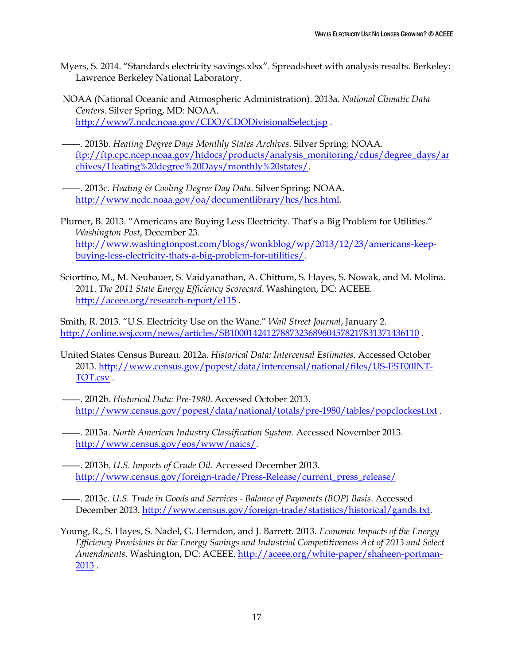- Myers, S. 2014. "Standards electricity savings.xlsx". Spreadsheet with analysis results. Berkeley: Lawrence Berkeley National Laboratory.
- NOAA (National Oceanic and Atmospheric Administration). 2013a. *National Climatic Data Centers*. Silver Spring, MD: NOAA. <http://www7.ncdc.noaa.gov/CDO/CDODivisionalSelect.jsp>.
- ———. 2013b. *Heating Degree Days Monthly States Archives*. Silver Spring: NOAA. [ftp://ftp.cpc.ncep.noaa.gov/htdocs/products/analysis\\_monitoring/cdus/degree\\_days/ar](ftp://ftp.cpc.ncep.noaa.gov/htdocs/products/analysis_monitoring/cdus/degree_days/archives/Heating degree Days/monthly states/) [chives/Heating%20degree%20Days/monthly%20states/.](ftp://ftp.cpc.ncep.noaa.gov/htdocs/products/analysis_monitoring/cdus/degree_days/archives/Heating degree Days/monthly states/)
- ———. 2013c. *Heating & Cooling Degree Day Data*. Silver Spring: NOAA. [http://www.ncdc.noaa.gov/oa/documentlibrary/hcs/hcs.html.](http://www.ncdc.noaa.gov/oa/documentlibrary/hcs/hcs.html)
- Plumer, B. 2013. "Americans are Buying Less Electricity. That's a Big Problem for Utilities." *Washington Post*, December 23. [http://www.washingtonpost.com/blogs/wonkblog/wp/2013/12/23/americans-keep](http://www.washingtonpost.com/blogs/wonkblog/wp/2013/12/23/americans-keep-buying-less-electricity-thats-a-big-problem-for-utilities/)[buying-less-electricity-thats-a-big-problem-for-utilities/.](http://www.washingtonpost.com/blogs/wonkblog/wp/2013/12/23/americans-keep-buying-less-electricity-thats-a-big-problem-for-utilities/)
- Sciortino, M., M. Neubauer, S. Vaidyanathan, A. Chittum, S. Hayes, S. Nowak, and M. Molina. 2011. *The 2011 State Energy Efficiency Scorecard*. Washington, DC: ACEEE. <http://aceee.org/research-report/e115>.

Smith, R. 2013. "U.S. Electricity Use on the Wane." *Wall Street Journal*, January 2. <http://online.wsj.com/news/articles/SB10001424127887323689604578217831371436110> .

- United States Census Bureau. 2012a. *Historical Data: Intercensal Estimates*. Accessed October 2013. [http://www.census.gov/popest/data/intercensal/national/files/US-EST00INT-](http://www.census.gov/popest/data/intercensal/national/files/US-EST00INT-TOT.csv)[TOT.csv](http://www.census.gov/popest/data/intercensal/national/files/US-EST00INT-TOT.csv) .
- ———. 2012b. *Historical Data: Pre-1980*. Accessed October 2013. <http://www.census.gov/popest/data/national/totals/pre-1980/tables/popclockest.txt> .
- ———. 2013a. *North American Industry Classification System*. Accessed November 2013. [http://www.census.gov/eos/www/naics/.](http://www.census.gov/eos/www/naics/)
- ———. 2013b. *U.S. Imports of Crude Oil*. Accessed December 2013. [http://www.census.gov/foreign-trade/Press-Release/current\\_press\\_release/](http://www.census.gov/foreign-trade/Press-Release/current_press_release/)
- ———. 2013c. *U.S. Trade in Goods and Services - Balance of Payments (BOP) Basis*. Accessed December 2013. [http://www.census.gov/foreign-trade/statistics/historical/gands.txt.](http://www.census.gov/foreign-trade/statistics/historical/gands.txt)
- Young, R., S. Hayes, S. Nadel, G. Herndon, and J. Barrett. 2013. *Economic Impacts of the Energy Efficiency Provisions in the Energy Savings and Industrial Competitiveness Act of 2013 and Select Amendments*. Washington, DC: ACEEE. [http://aceee.org/white-paper/shaheen-portman-](http://aceee.org/white-paper/shaheen-portman-2013)[2013](http://aceee.org/white-paper/shaheen-portman-2013) .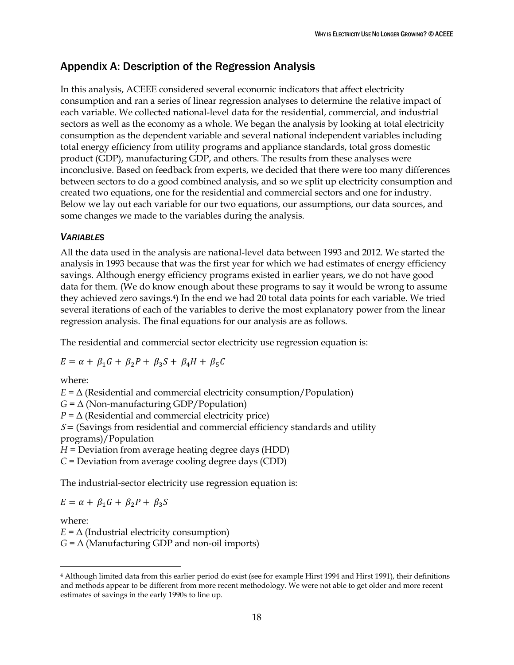# <span id="page-21-0"></span>Appendix A: Description of the Regression Analysis

In this analysis, ACEEE considered several economic indicators that affect electricity consumption and ran a series of linear regression analyses to determine the relative impact of each variable. We collected national-level data for the residential, commercial, and industrial sectors as well as the economy as a whole. We began the analysis by looking at total electricity consumption as the dependent variable and several national independent variables including total energy efficiency from utility programs and appliance standards, total gross domestic product (GDP), manufacturing GDP, and others. The results from these analyses were inconclusive. Based on feedback from experts, we decided that there were too many differences between sectors to do a good combined analysis, and so we split up electricity consumption and created two equations, one for the residential and commercial sectors and one for industry. Below we lay out each variable for our two equations, our assumptions, our data sources, and some changes we made to the variables during the analysis.

### *VARIABLES*

All the data used in the analysis are national-level data between 1993 and 2012. We started the analysis in 1993 because that was the first year for which we had estimates of energy efficiency savings. Although energy efficiency programs existed in earlier years, we do not have good data for them. (We do know enough about these programs to say it would be wrong to assume they achieved zero savings.4) In the end we had 20 total data points for each variable. We tried several iterations of each of the variables to derive the most explanatory power from the linear regression analysis. The final equations for our analysis are as follows.

The residential and commercial sector electricity use regression equation is:

$$
E = \alpha + \beta_1 G + \beta_2 P + \beta_3 S + \beta_4 H + \beta_5 C
$$

where:

 $E = \Delta$  (Residential and commercial electricity consumption/Population)

 $G = \Delta$  (Non-manufacturing GDP/Population)

 $P = \Delta$  (Residential and commercial electricity price)

 $S =$  (Savings from residential and commercial efficiency standards and utility programs)/Population

*H* = Deviation from average heating degree days (HDD)

*C* = Deviation from average cooling degree days (CDD)

The industrial-sector electricity use regression equation is:

$$
E = \alpha + \beta_1 G + \beta_2 P + \beta_3 S
$$

where:

 $\overline{a}$ 

 $E = \Delta$  (Industrial electricity consumption)

 $G = \Delta$  (Manufacturing GDP and non-oil imports)

<sup>4</sup> Although limited data from this earlier period do exist (see for example Hirst 1994 and Hirst 1991), their definitions and methods appear to be different from more recent methodology. We were not able to get older and more recent estimates of savings in the early 1990s to line up.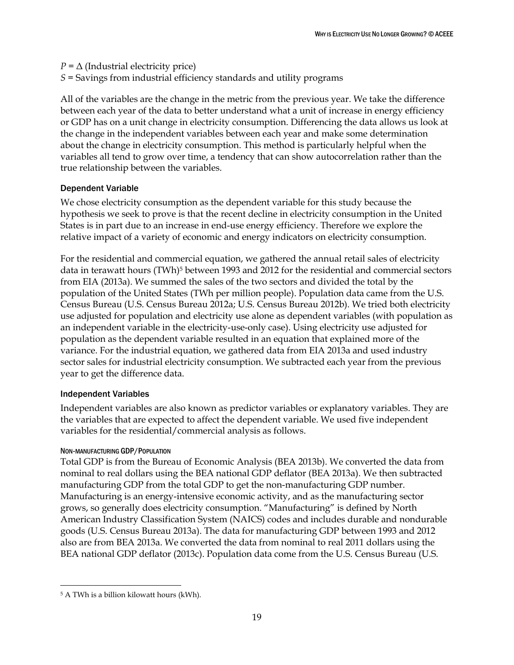$P = \Delta$  (Industrial electricity price) *S* = Savings from industrial efficiency standards and utility programs

All of the variables are the change in the metric from the previous year. We take the difference between each year of the data to better understand what a unit of increase in energy efficiency or GDP has on a unit change in electricity consumption. Differencing the data allows us look at the change in the independent variables between each year and make some determination about the change in electricity consumption. This method is particularly helpful when the variables all tend to grow over time, a tendency that can show autocorrelation rather than the true relationship between the variables.

### Dependent Variable

We chose electricity consumption as the dependent variable for this study because the hypothesis we seek to prove is that the recent decline in electricity consumption in the United States is in part due to an increase in end-use energy efficiency. Therefore we explore the relative impact of a variety of economic and energy indicators on electricity consumption.

For the residential and commercial equation, we gathered the annual retail sales of electricity data in terawatt hours (TWh)<sup>5</sup> between 1993 and 2012 for the residential and commercial sectors from EIA (2013a). We summed the sales of the two sectors and divided the total by the population of the United States (TWh per million people). Population data came from the U.S. Census Bureau (U.S. Census Bureau 2012a; U.S. Census Bureau 2012b). We tried both electricity use adjusted for population and electricity use alone as dependent variables (with population as an independent variable in the electricity-use-only case). Using electricity use adjusted for population as the dependent variable resulted in an equation that explained more of the variance. For the industrial equation, we gathered data from EIA 2013a and used industry sector sales for industrial electricity consumption. We subtracted each year from the previous year to get the difference data.

### Independent Variables

Independent variables are also known as predictor variables or explanatory variables. They are the variables that are expected to affect the dependent variable. We used five independent variables for the residential/commercial analysis as follows.

### NON-MANUFACTURING GDP/POPULATION

Total GDP is from the Bureau of Economic Analysis (BEA 2013b). We converted the data from nominal to real dollars using the BEA national GDP deflator (BEA 2013a). We then subtracted manufacturing GDP from the total GDP to get the non-manufacturing GDP number. Manufacturing is an energy-intensive economic activity, and as the manufacturing sector grows, so generally does electricity consumption. "Manufacturing" is defined by North American Industry Classification System (NAICS) codes and includes durable and nondurable goods (U.S. Census Bureau 2013a). The data for manufacturing GDP between 1993 and 2012 also are from BEA 2013a. We converted the data from nominal to real 2011 dollars using the BEA national GDP deflator (2013c). Population data come from the U.S. Census Bureau (U.S.

 $\overline{a}$ 

<sup>5</sup> A TWh is a billion kilowatt hours (kWh).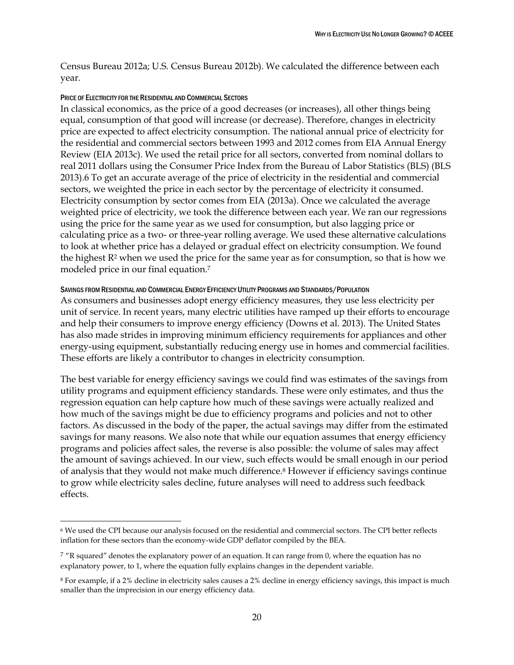Census Bureau 2012a; U.S. Census Bureau 2012b). We calculated the difference between each year.

### PRICE OF ELECTRICITY FOR THE RESIDENTIAL AND COMMERCIAL SECTORS

 $\overline{a}$ 

In classical economics, as the price of a good decreases (or increases), all other things being equal, consumption of that good will increase (or decrease). Therefore, changes in electricity price are expected to affect electricity consumption. The national annual price of electricity for the residential and commercial sectors between 1993 and 2012 comes from EIA Annual Energy Review (EIA 2013c). We used the retail price for all sectors, converted from nominal dollars to real 2011 dollars using the Consumer Price Index from the Bureau of Labor Statistics (BLS) (BLS 2013).6 To get an accurate average of the price of electricity in the residential and commercial sectors, we weighted the price in each sector by the percentage of electricity it consumed. Electricity consumption by sector comes from EIA (2013a). Once we calculated the average weighted price of electricity, we took the difference between each year. We ran our regressions using the price for the same year as we used for consumption, but also lagging price or calculating price as a two- or three-year rolling average. We used these alternative calculations to look at whether price has a delayed or gradual effect on electricity consumption. We found the highest  $R<sup>2</sup>$  when we used the price for the same year as for consumption, so that is how we modeled price in our final equation.<sup>7</sup>

### SAVINGS FROM RESIDENTIAL AND COMMERCIAL ENERGY EFFICIENCY UTILITY PROGRAMS AND STANDARDS/POPULATION

As consumers and businesses adopt energy efficiency measures, they use less electricity per unit of service. In recent years, many electric utilities have ramped up their efforts to encourage and help their consumers to improve energy efficiency (Downs et al. 2013). The United States has also made strides in improving minimum efficiency requirements for appliances and other energy-using equipment, substantially reducing energy use in homes and commercial facilities. These efforts are likely a contributor to changes in electricity consumption.

The best variable for energy efficiency savings we could find was estimates of the savings from utility programs and equipment efficiency standards. These were only estimates, and thus the regression equation can help capture how much of these savings were actually realized and how much of the savings might be due to efficiency programs and policies and not to other factors. As discussed in the body of the paper, the actual savings may differ from the estimated savings for many reasons. We also note that while our equation assumes that energy efficiency programs and policies affect sales, the reverse is also possible: the volume of sales may affect the amount of savings achieved. In our view, such effects would be small enough in our period of analysis that they would not make much difference.<sup>8</sup> However if efficiency savings continue to grow while electricity sales decline, future analyses will need to address such feedback effects.

<sup>6</sup> We used the CPI because our analysis focused on the residential and commercial sectors. The CPI better reflects inflation for these sectors than the economy-wide GDP deflator compiled by the BEA.

 $7$  "R squared" denotes the explanatory power of an equation. It can range from 0, where the equation has no explanatory power, to 1, where the equation fully explains changes in the dependent variable.

<sup>8</sup> For example, if a 2% decline in electricity sales causes a 2% decline in energy efficiency savings, this impact is much smaller than the imprecision in our energy efficiency data.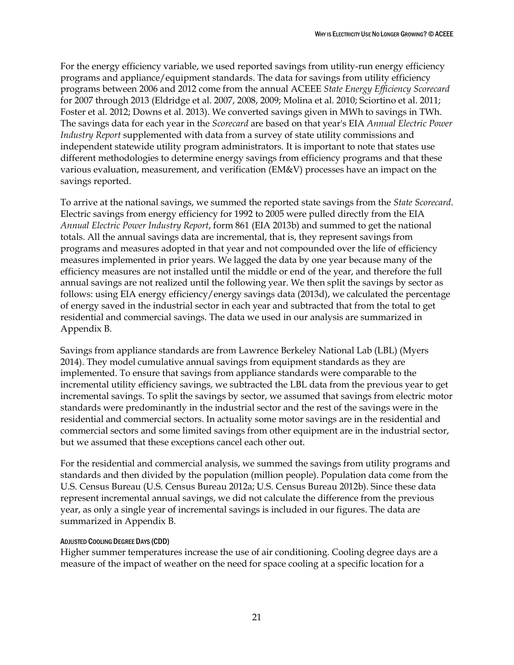For the energy efficiency variable, we used reported savings from utility-run energy efficiency programs and appliance/equipment standards. The data for savings from utility efficiency programs between 2006 and 2012 come from the annual ACEEE *State Energy Efficiency Scorecard* for 2007 through 2013 (Eldridge et al. 2007, 2008, 2009; Molina et al. 2010; Sciortino et al. 2011; Foster et al. 2012; Downs et al. 2013). We converted savings given in MWh to savings in TWh. The savings data for each year in the *Scorecard* are based on that year's EIA *Annual Electric Power Industry Report* supplemented with data from a survey of state utility commissions and independent statewide utility program administrators. It is important to note that states use different methodologies to determine energy savings from efficiency programs and that these various evaluation, measurement, and verification (EM&V) processes have an impact on the savings reported.

To arrive at the national savings, we summed the reported state savings from the *State Scorecard*. Electric savings from energy efficiency for 1992 to 2005 were pulled directly from the EIA *Annual Electric Power Industry Report*, form 861 (EIA 2013b) and summed to get the national totals. All the annual savings data are incremental, that is, they represent savings from programs and measures adopted in that year and not compounded over the life of efficiency measures implemented in prior years. We lagged the data by one year because many of the efficiency measures are not installed until the middle or end of the year, and therefore the full annual savings are not realized until the following year. We then split the savings by sector as follows: using EIA energy efficiency/energy savings data (2013d), we calculated the percentage of energy saved in the industrial sector in each year and subtracted that from the total to get residential and commercial savings. The data we used in our analysis are summarized in Appendix B.

Savings from appliance standards are from Lawrence Berkeley National Lab (LBL) (Myers 2014). They model cumulative annual savings from equipment standards as they are implemented. To ensure that savings from appliance standards were comparable to the incremental utility efficiency savings, we subtracted the LBL data from the previous year to get incremental savings. To split the savings by sector, we assumed that savings from electric motor standards were predominantly in the industrial sector and the rest of the savings were in the residential and commercial sectors. In actuality some motor savings are in the residential and commercial sectors and some limited savings from other equipment are in the industrial sector, but we assumed that these exceptions cancel each other out.

For the residential and commercial analysis, we summed the savings from utility programs and standards and then divided by the population (million people). Population data come from the U.S. Census Bureau (U.S. Census Bureau 2012a; U.S. Census Bureau 2012b). Since these data represent incremental annual savings, we did not calculate the difference from the previous year, as only a single year of incremental savings is included in our figures. The data are summarized in Appendix B.

### ADJUSTED COOLING DEGREE DAYS (CDD)

Higher summer temperatures increase the use of air conditioning. Cooling degree days are a measure of the impact of weather on the need for space cooling at a specific location for a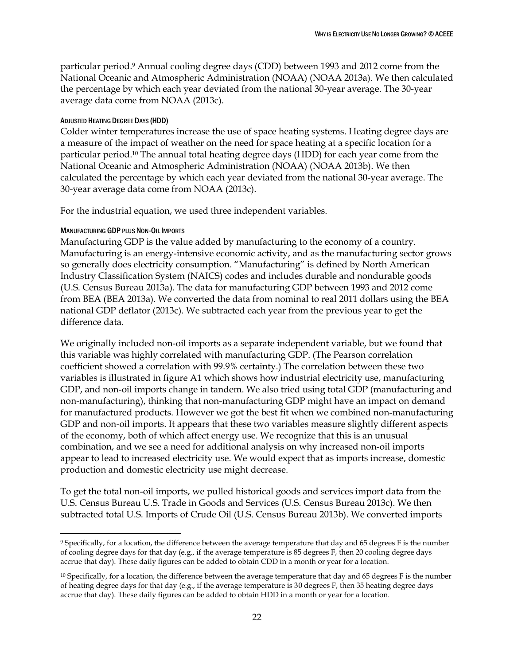particular period.<sup>9</sup> Annual cooling degree days (CDD) between 1993 and 2012 come from the National Oceanic and Atmospheric Administration (NOAA) (NOAA 2013a). We then calculated the percentage by which each year deviated from the national 30-year average. The 30-year average data come from NOAA (2013c).

### ADJUSTED HEATING DEGREE DAYS (HDD)

Colder winter temperatures increase the use of space heating systems. Heating degree days are a measure of the impact of weather on the need for space heating at a specific location for a particular period.<sup>10</sup> The annual total heating degree days (HDD) for each year come from the National Oceanic and Atmospheric Administration (NOAA) (NOAA 2013b). We then calculated the percentage by which each year deviated from the national 30-year average. The 30-year average data come from NOAA (2013c).

For the industrial equation, we used three independent variables.

### MANUFACTURING GDP PLUS NON-OIL IMPORTS

 $\overline{a}$ 

Manufacturing GDP is the value added by manufacturing to the economy of a country. Manufacturing is an energy-intensive economic activity, and as the manufacturing sector grows so generally does electricity consumption. "Manufacturing" is defined by North American Industry Classification System (NAICS) codes and includes durable and nondurable goods (U.S. Census Bureau 2013a). The data for manufacturing GDP between 1993 and 2012 come from BEA (BEA 2013a). We converted the data from nominal to real 2011 dollars using the BEA national GDP deflator (2013c). We subtracted each year from the previous year to get the difference data.

We originally included non-oil imports as a separate independent variable, but we found that this variable was highly correlated with manufacturing GDP. (The Pearson correlation coefficient showed a correlation with 99.9% certainty.) The correlation between these two variables is illustrated in figure A1 which shows how industrial electricity use, manufacturing GDP, and non-oil imports change in tandem. We also tried using total GDP (manufacturing and non-manufacturing), thinking that non-manufacturing GDP might have an impact on demand for manufactured products. However we got the best fit when we combined non-manufacturing GDP and non-oil imports. It appears that these two variables measure slightly different aspects of the economy, both of which affect energy use. We recognize that this is an unusual combination, and we see a need for additional analysis on why increased non-oil imports appear to lead to increased electricity use. We would expect that as imports increase, domestic production and domestic electricity use might decrease.

To get the total non-oil imports, we pulled historical goods and services import data from the U.S. Census Bureau U.S. Trade in Goods and Services (U.S. Census Bureau 2013c). We then subtracted total U.S. Imports of Crude Oil (U.S. Census Bureau 2013b). We converted imports

<sup>9</sup> Specifically, for a location, the difference between the average temperature that day and 65 degrees F is the number of cooling degree days for that day (e.g., if the average temperature is 85 degrees F, then 20 cooling degree days accrue that day). These daily figures can be added to obtain CDD in a month or year for a location.

 $10$  Specifically, for a location, the difference between the average temperature that day and 65 degrees F is the number of heating degree days for that day (e.g., if the average temperature is 30 degrees F, then 35 heating degree days accrue that day). These daily figures can be added to obtain HDD in a month or year for a location.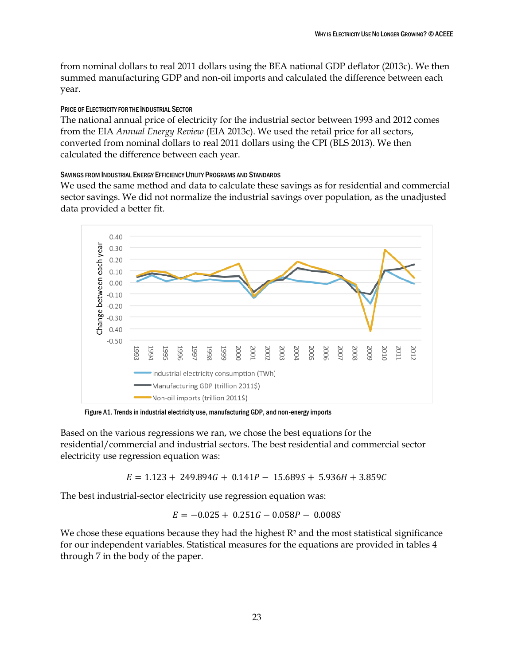from nominal dollars to real 2011 dollars using the BEA national GDP deflator (2013c). We then summed manufacturing GDP and non-oil imports and calculated the difference between each year.

### PRICE OF ELECTRICITY FOR THE INDUSTRIAL SECTOR

The national annual price of electricity for the industrial sector between 1993 and 2012 comes from the EIA *Annual Energy Review* (EIA 2013c). We used the retail price for all sectors, converted from nominal dollars to real 2011 dollars using the CPI (BLS 2013). We then calculated the difference between each year.

### SAVINGS FROM INDUSTRIAL ENERGY EFFICIENCY UTILITY PROGRAMS AND STANDARDS

We used the same method and data to calculate these savings as for residential and commercial sector savings. We did not normalize the industrial savings over population, as the unadjusted data provided a better fit.



Figure A1. Trends in industrial electricity use, manufacturing GDP, and non-energy imports

Based on the various regressions we ran, we chose the best equations for the residential/commercial and industrial sectors. The best residential and commercial sector electricity use regression equation was:

 $E = 1.123 + 249.894G + 0.141P - 15.689S + 5.936H + 3.859C$ 

The best industrial-sector electricity use regression equation was:

 $E = -0.025 + 0.251G - 0.058P - 0.008S$ 

We chose these equations because they had the highest  $R<sup>2</sup>$  and the most statistical significance for our independent variables. Statistical measures for the equations are provided in tables 4 through 7 in the body of the paper.